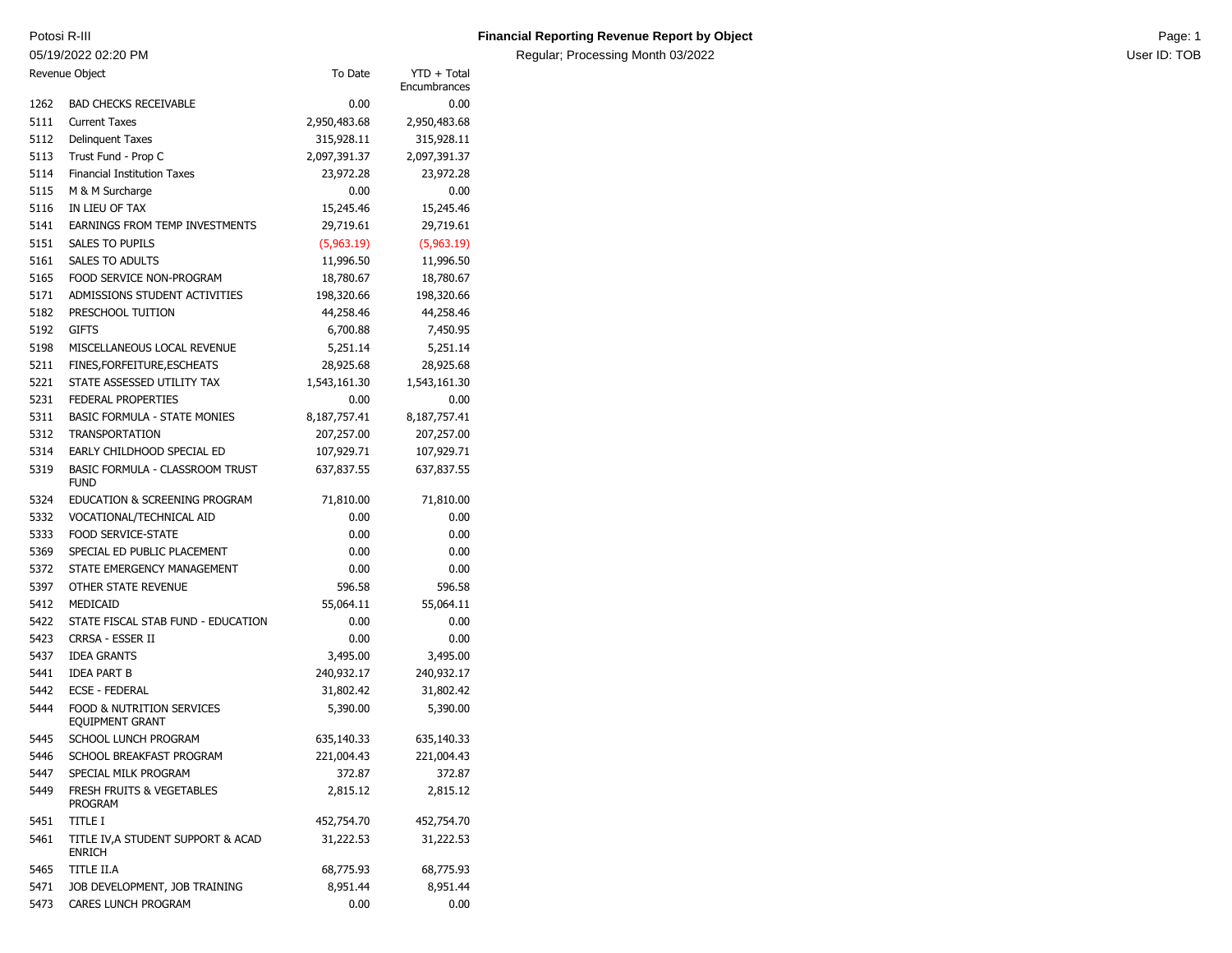05/19/2022 02:20 PM

## Potosi R-III **Page: 1 Contains a Constanting Revenue Report by Object** Page: 1 **Page: 1** Page: 1

Regular; Processing Month 03/2022 **Districts and Contact Contact Contact Contact Contact Contact Contact Contact Contact Contact Contact Contact Contact Contact Contact Contact Contact Contact Contact Contact Contact Conta** 

|      | To Date<br>Revenue Object                                      |              | YTD + Total<br>Encumbrances |
|------|----------------------------------------------------------------|--------------|-----------------------------|
| 1262 | <b>BAD CHECKS RECEIVABLE</b>                                   | 0.00         | 0.00                        |
| 5111 | <b>Current Taxes</b>                                           | 2,950,483.68 | 2,950,483.68                |
| 5112 | <b>Delinquent Taxes</b>                                        | 315,928.11   | 315,928.11                  |
| 5113 | Trust Fund - Prop C                                            | 2,097,391.37 | 2,097,391.37                |
| 5114 | <b>Financial Institution Taxes</b>                             | 23,972.28    | 23,972.28                   |
| 5115 | M & M Surcharge                                                | 0.00         | 0.00                        |
| 5116 | IN LIEU OF TAX                                                 | 15,245.46    | 15,245.46                   |
| 5141 | EARNINGS FROM TEMP INVESTMENTS                                 | 29,719.61    | 29,719.61                   |
| 5151 | <b>SALES TO PUPILS</b>                                         | (5,963.19)   | (5,963.19)                  |
| 5161 | <b>SALES TO ADULTS</b>                                         | 11,996.50    | 11,996.50                   |
| 5165 | FOOD SERVICE NON-PROGRAM                                       | 18,780.67    | 18,780.67                   |
| 5171 | ADMISSIONS STUDENT ACTIVITIES                                  | 198,320.66   | 198,320.66                  |
| 5182 | PRESCHOOL TUITION                                              | 44,258.46    | 44,258.46                   |
| 5192 | <b>GIFTS</b>                                                   | 6,700.88     | 7,450.95                    |
| 5198 | MISCELLANEOUS LOCAL REVENUE                                    | 5,251.14     | 5,251.14                    |
| 5211 | FINES, FOR FEITURE, ESCHEATS                                   | 28,925.68    | 28,925.68                   |
| 5221 | STATE ASSESSED UTILITY TAX                                     | 1,543,161.30 | 1,543,161.30                |
| 5231 | <b>FEDERAL PROPERTIES</b>                                      | 0.00         | 0.00                        |
| 5311 | <b>BASIC FORMULA - STATE MONIES</b>                            | 8,187,757.41 | 8,187,757.41                |
| 5312 | <b>TRANSPORTATION</b>                                          | 207,257.00   | 207,257.00                  |
| 5314 | EARLY CHILDHOOD SPECIAL ED                                     | 107,929.71   | 107,929.71                  |
| 5319 | BASIC FORMULA - CLASSROOM TRUST<br><b>FUND</b>                 | 637,837.55   | 637,837.55                  |
| 5324 | EDUCATION & SCREENING PROGRAM                                  | 71,810.00    | 71,810.00                   |
| 5332 | VOCATIONAL/TECHNICAL AID                                       | 0.00         | 0.00                        |
| 5333 | <b>FOOD SERVICE-STATE</b>                                      | 0.00         | 0.00                        |
| 5369 | SPECIAL ED PUBLIC PLACEMENT                                    | 0.00         | 0.00                        |
| 5372 | STATE EMERGENCY MANAGEMENT                                     | 0.00         | 0.00                        |
| 5397 | OTHER STATE REVENUE                                            | 596.58       | 596.58                      |
| 5412 | MEDICAID                                                       | 55,064.11    | 55,064.11                   |
| 5422 | STATE FISCAL STAB FUND - EDUCATION                             | 0.00         | 0.00                        |
| 5423 | CRRSA - ESSER II                                               | 0.00         | 0.00                        |
| 5437 | <b>IDEA GRANTS</b>                                             | 3,495.00     | 3,495.00                    |
| 5441 | <b>IDEA PART B</b>                                             | 240,932.17   | 240,932.17                  |
| 5442 | <b>ECSE - FEDERAL</b>                                          | 31,802.42    | 31,802.42                   |
| 5444 | <b>FOOD &amp; NUTRITION SERVICES</b><br><b>EQUIPMENT GRANT</b> | 5,390.00     | 5,390.00                    |
| 5445 | SCHOOL LUNCH PROGRAM                                           | 635,140.33   | 635,140.33                  |
| 5446 | SCHOOL BREAKFAST PROGRAM                                       | 221,004.43   | 221,004.43                  |
| 5447 | SPECIAL MILK PROGRAM                                           | 372.87       | 372.87                      |
| 5449 | <b>FRESH FRUITS &amp; VEGETABLES</b><br>PROGRAM                | 2,815.12     | 2,815.12                    |
| 5451 | title i                                                        | 452,754.70   | 452,754.70                  |
| 5461 | TITLE IV, A STUDENT SUPPORT & ACAD<br><b>ENRICH</b>            | 31,222.53    | 31,222.53                   |
| 5465 | TITLE II.A                                                     | 68,775.93    | 68,775.93                   |
| 5471 | JOB DEVELOPMENT, JOB TRAINING                                  | 8,951.44     | 8,951.44                    |
| 5473 | CARES LUNCH PROGRAM                                            | 0.00         | 0.00                        |